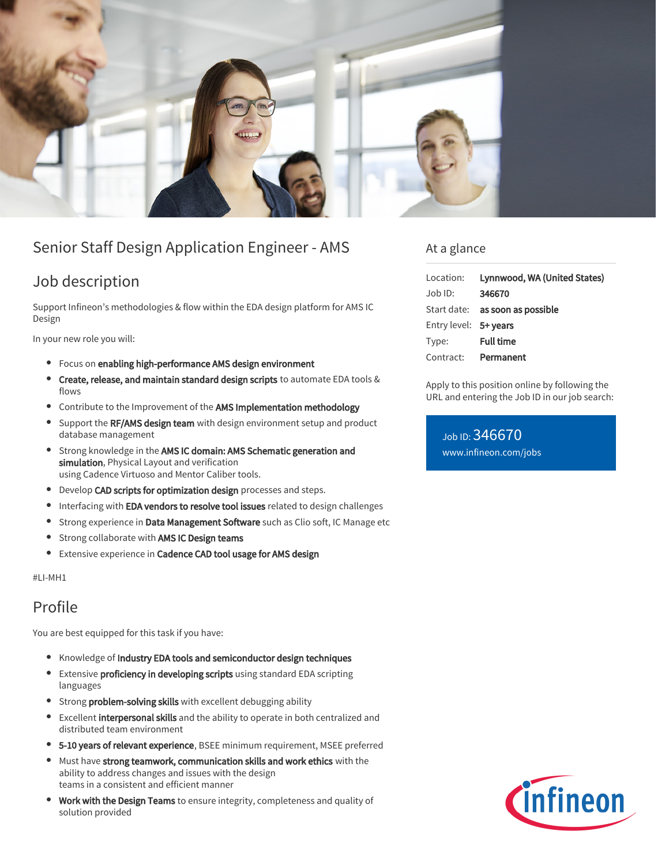

# Senior Staff Design Application Engineer - AMS

### Job description

Support Infineon's methodologies & flow within the EDA design platform for AMS IC Design

In your new role you will:

- Focus on enabling high-performance AMS design environment
- $\bullet$ Create, release, and maintain standard design scripts to automate EDA tools & flows
- **Contribute to the Improvement of the AMS Implementation methodology**
- Support the RF/AMS design team with design environment setup and product  $\bullet$ database management
- **•** Strong knowledge in the AMS IC domain: AMS Schematic generation and simulation, Physical Layout and verification using Cadence Virtuoso and Mentor Caliber tools.
- Develop CAD scripts for optimization design processes and steps.
- Interfacing with EDA vendors to resolve tool issues related to design challenges
- **Strong experience in Data Management Software** such as Clio soft, IC Manage etc
- **•** Strong collaborate with AMS IC Design teams
- Extensive experience in Cadence CAD tool usage for AMS design

#LI-MH1

### Profile

You are best equipped for this task if you have:

- Knowledge of Industry EDA tools and semiconductor design techniques
- $\bullet$ Extensive proficiency in developing scripts using standard EDA scripting languages
- **Strong problem-solving skills** with excellent debugging ability
- Excellent interpersonal skills and the ability to operate in both centralized and  $\bullet$ distributed team environment
- **5-10 years of relevant experience**, BSEE minimum requirement, MSEE preferred
- Must have strong teamwork, communication skills and work ethics with the ability to address changes and issues with the design teams in a consistent and efficient manner
- **Work with the Design Teams** to ensure integrity, completeness and quality of solution provided

### At a glance

| Location:             | Lynnwood, WA (United States)    |
|-----------------------|---------------------------------|
| Job ID:               | 346670                          |
|                       | Start date: as soon as possible |
| Entry level: 5+ years |                                 |
| Type:                 | <b>Full time</b>                |
| Contract:             | Permanent                       |

Apply to this position online by following the URL and entering the Job ID in our job search:

Job ID: 346670 [www.infineon.com/jobs](https://www.infineon.com/jobs)